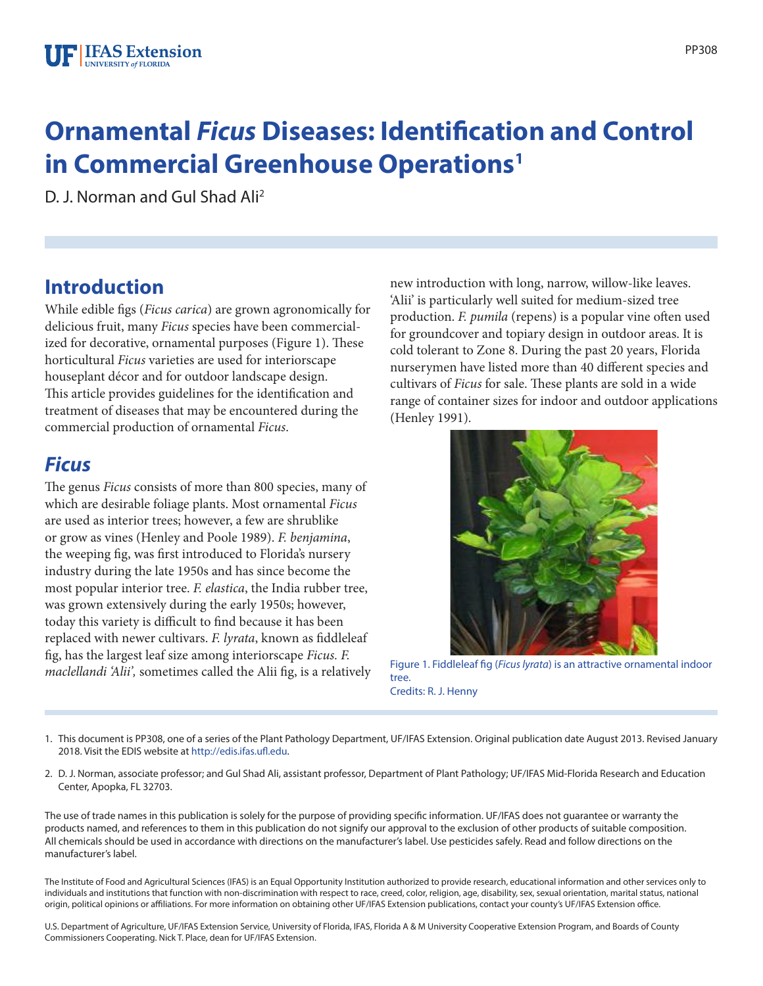# **Ornamental** *Ficus* **Diseases: Identification and Control in Commercial Greenhouse Operations1**

D. J. Norman and Gul Shad Ali2

## **Introduction**

While edible figs (*Ficus carica*) are grown agronomically for delicious fruit, many *Ficus* species have been commercialized for decorative, ornamental purposes (Figure 1). These horticultural *Ficus* varieties are used for interiorscape houseplant décor and for outdoor landscape design. This article provides guidelines for the identification and treatment of diseases that may be encountered during the commercial production of ornamental *Ficus*.

## *Ficus*

The genus *Ficus* consists of more than 800 species, many of which are desirable foliage plants. Most ornamental *Ficus* are used as interior trees; however, a few are shrublike or grow as vines (Henley and Poole 1989). *F. benjamina*, the weeping fig, was first introduced to Florida's nursery industry during the late 1950s and has since become the most popular interior tree. *F. elastica*, the India rubber tree, was grown extensively during the early 1950s; however, today this variety is difficult to find because it has been replaced with newer cultivars. *F. lyrata*, known as fiddleleaf fig, has the largest leaf size among interiorscape *Ficus. F. maclellandi 'Alii',* sometimes called the Alii fig, is a relatively new introduction with long, narrow, willow-like leaves. 'Alii' is particularly well suited for medium-sized tree production. *F. pumila* (repens) is a popular vine often used for groundcover and topiary design in outdoor areas. It is cold tolerant to Zone 8. During the past 20 years, Florida nurserymen have listed more than 40 different species and cultivars of *Ficus* for sale. These plants are sold in a wide range of container sizes for indoor and outdoor applications (Henley 1991).



Figure 1. Fiddleleaf fig (*Ficus lyrata*) is an attractive ornamental indoor tree. Credits: R. J. Henny

- 1. This document is PP308, one of a series of the Plant Pathology Department, UF/IFAS Extension. Original publication date August 2013. Revised January 2018. Visit the EDIS website at http://edis.ifas.ufl.edu.
- 2. D. J. Norman, associate professor; and Gul Shad Ali, assistant professor, Department of Plant Pathology; UF/IFAS Mid-Florida Research and Education Center, Apopka, FL 32703.

The use of trade names in this publication is solely for the purpose of providing specific information. UF/IFAS does not guarantee or warranty the products named, and references to them in this publication do not signify our approval to the exclusion of other products of suitable composition. All chemicals should be used in accordance with directions on the manufacturer's label. Use pesticides safely. Read and follow directions on the manufacturer's label.

The Institute of Food and Agricultural Sciences (IFAS) is an Equal Opportunity Institution authorized to provide research, educational information and other services only to individuals and institutions that function with non-discrimination with respect to race, creed, color, religion, age, disability, sex, sexual orientation, marital status, national origin, political opinions or affiliations. For more information on obtaining other UF/IFAS Extension publications, contact your county's UF/IFAS Extension office.

U.S. Department of Agriculture, UF/IFAS Extension Service, University of Florida, IFAS, Florida A & M University Cooperative Extension Program, and Boards of County Commissioners Cooperating. Nick T. Place, dean for UF/IFAS Extension.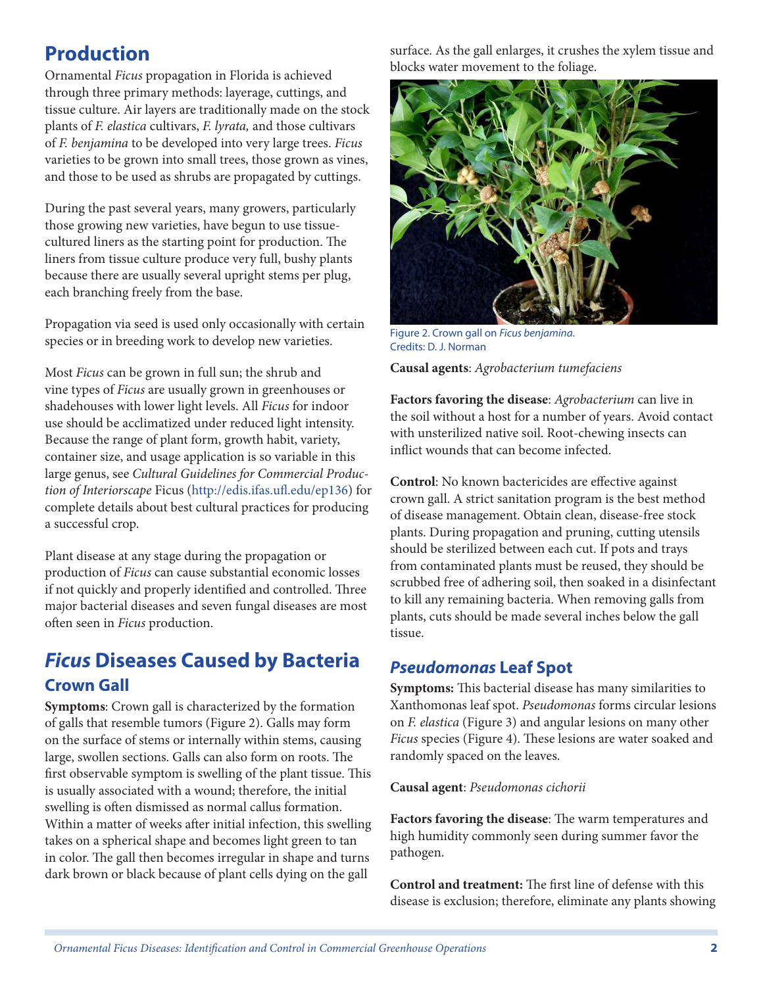## **Production**

Ornamental *Ficus* propagation in Florida is achieved through three primary methods: layerage, cuttings, and tissue culture. Air layers are traditionally made on the stock plants of *F. elastica* cultivars, *F. lyrata,* and those cultivars of *F. benjamina* to be developed into very large trees. *Ficus* varieties to be grown into small trees, those grown as vines, and those to be used as shrubs are propagated by cuttings.

During the past several years, many growers, particularly those growing new varieties, have begun to use tissuecultured liners as the starting point for production. The liners from tissue culture produce very full, bushy plants because there are usually several upright stems per plug, each branching freely from the base.

Propagation via seed is used only occasionally with certain species or in breeding work to develop new varieties.

Most *Ficus* can be grown in full sun; the shrub and vine types of *Ficus* are usually grown in greenhouses or shadehouses with lower light levels. All *Ficus* for indoor use should be acclimatized under reduced light intensity. Because the range of plant form, growth habit, variety, container size, and usage application is so variable in this large genus, see *Cultural Guidelines for Commercial Production of Interiorscape* Ficus (http://edis.ifas.ufl.edu/ep136) for complete details about best cultural practices for producing a successful crop.

Plant disease at any stage during the propagation or production of *Ficus* can cause substantial economic losses if not quickly and properly identified and controlled. Three major bacterial diseases and seven fungal diseases are most often seen in *Ficus* production.

## *Ficus* **Diseases Caused by Bacteria Crown Gall**

**Symptoms**: Crown gall is characterized by the formation of galls that resemble tumors (Figure 2). Galls may form on the surface of stems or internally within stems, causing large, swollen sections. Galls can also form on roots. The first observable symptom is swelling of the plant tissue. This is usually associated with a wound; therefore, the initial swelling is often dismissed as normal callus formation. Within a matter of weeks after initial infection, this swelling takes on a spherical shape and becomes light green to tan in color. The gall then becomes irregular in shape and turns dark brown or black because of plant cells dying on the gall

surface. As the gall enlarges, it crushes the xylem tissue and blocks water movement to the foliage.



Figure 2. Crown gall on *Ficus benjamina*. Credits: D. J. Norman

**Causal agents**: *Agrobacterium tumefaciens*

**Factors favoring the disease**: *Agrobacterium* can live in the soil without a host for a number of years. Avoid contact with unsterilized native soil. Root-chewing insects can inflict wounds that can become infected.

**Control**: No known bactericides are effective against crown gall. A strict sanitation program is the best method of disease management. Obtain clean, disease-free stock plants. During propagation and pruning, cutting utensils should be sterilized between each cut. If pots and trays from contaminated plants must be reused, they should be scrubbed free of adhering soil, then soaked in a disinfectant to kill any remaining bacteria. When removing galls from plants, cuts should be made several inches below the gall tissue.

### *Pseudomonas* **Leaf Spot**

**Symptoms:** This bacterial disease has many similarities to Xanthomonas leaf spot. *Pseudomonas* forms circular lesions on *F. elastica* (Figure 3) and angular lesions on many other *Ficus* species (Figure 4). These lesions are water soaked and randomly spaced on the leaves.

**Causal agent**: *Pseudomonas cichorii*

**Factors favoring the disease**: The warm temperatures and high humidity commonly seen during summer favor the pathogen.

**Control and treatment:** The first line of defense with this disease is exclusion; therefore, eliminate any plants showing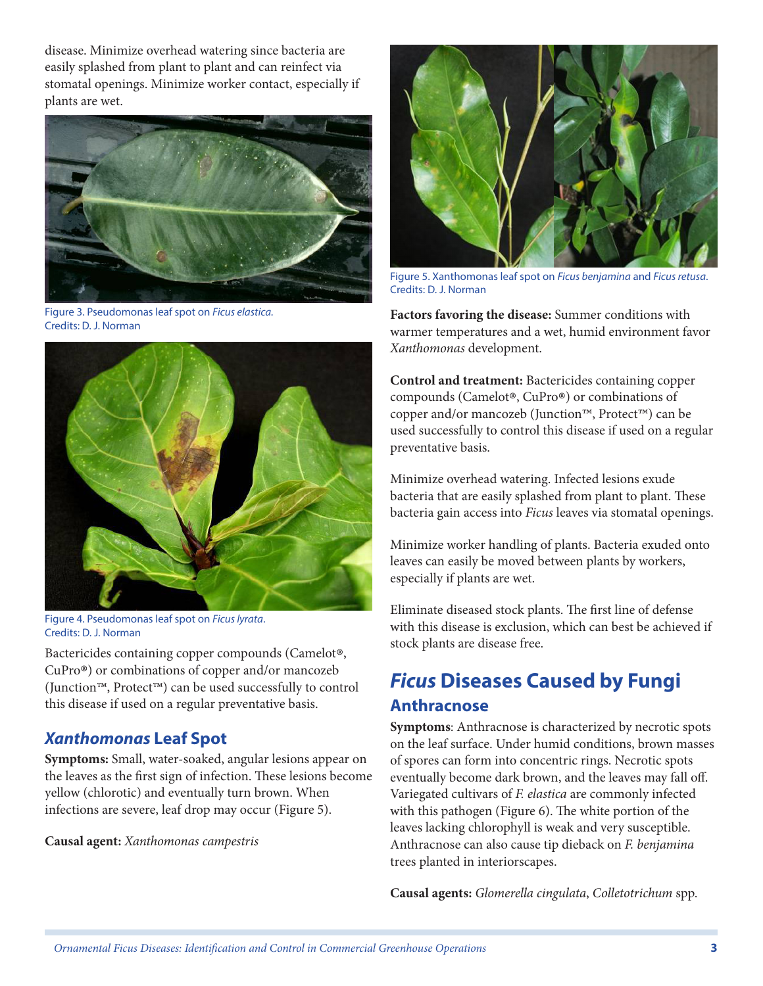disease. Minimize overhead watering since bacteria are easily splashed from plant to plant and can reinfect via stomatal openings. Minimize worker contact, especially if plants are wet.



Figure 3. Pseudomonas leaf spot on *Ficus elastica.* Credits: D. J. Norman



Figure 4. Pseudomonas leaf spot on *Ficus lyrata*. Credits: D. J. Norman

Bactericides containing copper compounds (Camelot®, CuPro®) or combinations of copper and/or mancozeb (Junction™, Protect™) can be used successfully to control this disease if used on a regular preventative basis.

## *Xanthomonas* **Leaf Spot**

**Symptoms:** Small, water-soaked, angular lesions appear on the leaves as the first sign of infection. These lesions become yellow (chlorotic) and eventually turn brown. When infections are severe, leaf drop may occur (Figure 5).

**Causal agent:** *Xanthomonas campestris*



Figure 5. Xanthomonas leaf spot on *Ficus benjamina* and *Ficus retusa*. Credits: D. J. Norman

**Factors favoring the disease:** Summer conditions with warmer temperatures and a wet, humid environment favor *Xanthomonas* development.

**Control and treatment:** Bactericides containing copper compounds (Camelot®, CuPro®) or combinations of copper and/or mancozeb (Junction™, Protect™) can be used successfully to control this disease if used on a regular preventative basis.

Minimize overhead watering. Infected lesions exude bacteria that are easily splashed from plant to plant. These bacteria gain access into *Ficus* leaves via stomatal openings.

Minimize worker handling of plants. Bacteria exuded onto leaves can easily be moved between plants by workers, especially if plants are wet.

Eliminate diseased stock plants. The first line of defense with this disease is exclusion, which can best be achieved if stock plants are disease free.

## *Ficus* **Diseases Caused by Fungi Anthracnose**

**Symptoms**: Anthracnose is characterized by necrotic spots on the leaf surface. Under humid conditions, brown masses of spores can form into concentric rings. Necrotic spots eventually become dark brown, and the leaves may fall off. Variegated cultivars of *F. elastica* are commonly infected with this pathogen (Figure 6). The white portion of the leaves lacking chlorophyll is weak and very susceptible. Anthracnose can also cause tip dieback on *F. benjamina* trees planted in interiorscapes.

**Causal agents:** *Glomerella cingulata*, *Colletotrichum* spp.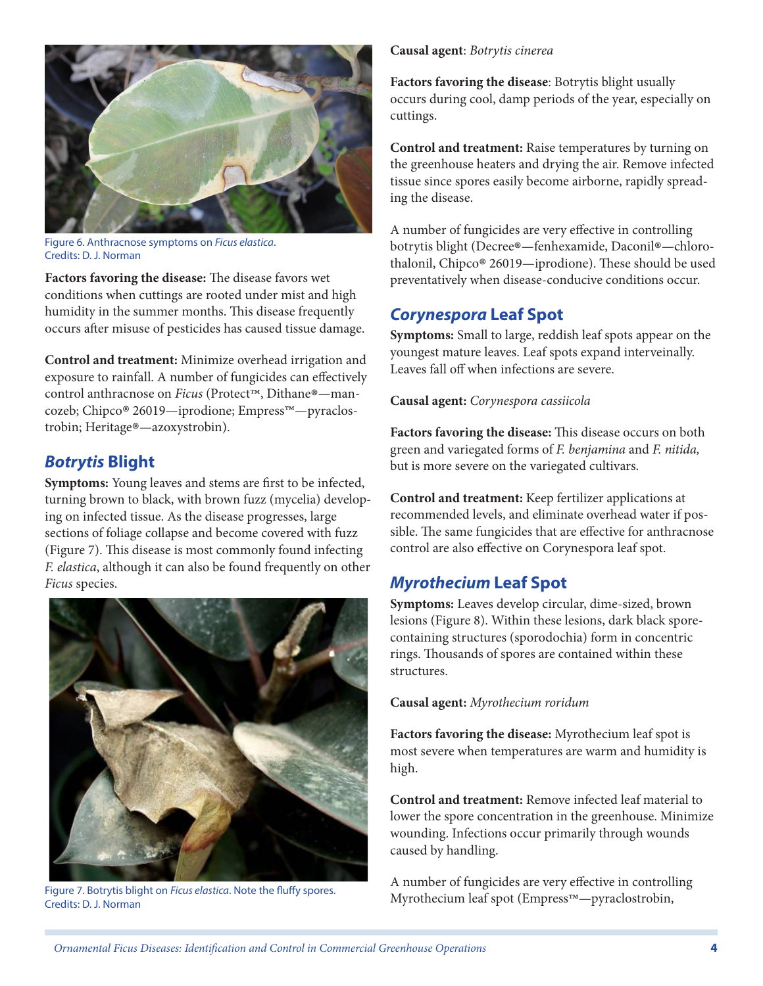

Figure 6. Anthracnose symptoms on *Ficus elastica*. Credits: D. J. Norman

**Factors favoring the disease:** The disease favors wet conditions when cuttings are rooted under mist and high humidity in the summer months. This disease frequently occurs after misuse of pesticides has caused tissue damage.

**Control and treatment:** Minimize overhead irrigation and exposure to rainfall. A number of fungicides can effectively control anthracnose on *Ficus* (Protect™, Dithane®—mancozeb; Chipco® 26019—iprodione; Empress™—pyraclostrobin; Heritage®—azoxystrobin).

## *Botrytis* **Blight**

**Symptoms:** Young leaves and stems are first to be infected, turning brown to black, with brown fuzz (mycelia) developing on infected tissue. As the disease progresses, large sections of foliage collapse and become covered with fuzz (Figure 7). This disease is most commonly found infecting *F. elastica*, although it can also be found frequently on other *Ficus* species.



Figure 7. Botrytis blight on *Ficus elastica*. Note the fluffy spores. Credits: D. J. Norman

#### **Causal agent**: *Botrytis cinerea*

**Factors favoring the disease**: Botrytis blight usually occurs during cool, damp periods of the year, especially on cuttings.

**Control and treatment:** Raise temperatures by turning on the greenhouse heaters and drying the air. Remove infected tissue since spores easily become airborne, rapidly spreading the disease.

A number of fungicides are very effective in controlling botrytis blight (Decree®—fenhexamide, Daconil®—chlorothalonil, Chipco® 26019—iprodione). These should be used preventatively when disease-conducive conditions occur.

## *Corynespora* **Leaf Spot**

**Symptoms:** Small to large, reddish leaf spots appear on the youngest mature leaves. Leaf spots expand interveinally. Leaves fall off when infections are severe.

**Causal agent:** *Corynespora cassiicola*

**Factors favoring the disease:** This disease occurs on both green and variegated forms of *F. benjamina* and *F. nitida,* but is more severe on the variegated cultivars.

**Control and treatment:** Keep fertilizer applications at recommended levels, and eliminate overhead water if possible. The same fungicides that are effective for anthracnose control are also effective on Corynespora leaf spot.

## *Myrothecium* **Leaf Spot**

**Symptoms:** Leaves develop circular, dime-sized, brown lesions (Figure 8). Within these lesions, dark black sporecontaining structures (sporodochia) form in concentric rings. Thousands of spores are contained within these structures.

#### **Causal agent:** *Myrothecium roridum*

**Factors favoring the disease:** Myrothecium leaf spot is most severe when temperatures are warm and humidity is high.

**Control and treatment:** Remove infected leaf material to lower the spore concentration in the greenhouse. Minimize wounding. Infections occur primarily through wounds caused by handling.

A number of fungicides are very effective in controlling Myrothecium leaf spot (Empress™—pyraclostrobin,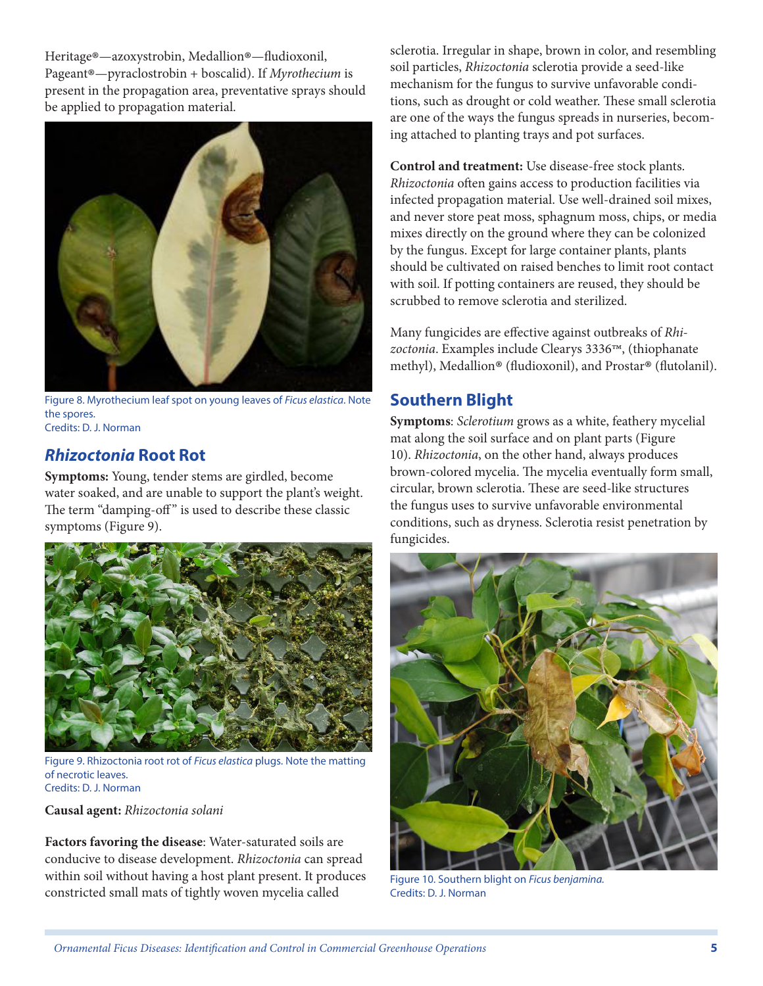Heritage®—azoxystrobin, Medallion®—fludioxonil, Pageant®—pyraclostrobin + boscalid). If *Myrothecium* is present in the propagation area, preventative sprays should be applied to propagation material.



Figure 8. Myrothecium leaf spot on young leaves of *Ficus elastica*. Note the spores. Credits: D. J. Norman

### *Rhizoctonia* **Root Rot**

**Symptoms:** Young, tender stems are girdled, become water soaked, and are unable to support the plant's weight. The term "damping-off" is used to describe these classic symptoms (Figure 9).



Figure 9. Rhizoctonia root rot of *Ficus elastica* plugs. Note the matting of necrotic leaves. Credits: D. J. Norman

**Causal agent:** *Rhizoctonia solani*

**Factors favoring the disease**: Water-saturated soils are conducive to disease development. *Rhizoctonia* can spread within soil without having a host plant present. It produces constricted small mats of tightly woven mycelia called

sclerotia. Irregular in shape, brown in color, and resembling soil particles, *Rhizoctonia* sclerotia provide a seed-like mechanism for the fungus to survive unfavorable conditions, such as drought or cold weather. These small sclerotia are one of the ways the fungus spreads in nurseries, becoming attached to planting trays and pot surfaces.

**Control and treatment:** Use disease-free stock plants. *Rhizoctonia* often gains access to production facilities via infected propagation material. Use well-drained soil mixes, and never store peat moss, sphagnum moss, chips, or media mixes directly on the ground where they can be colonized by the fungus. Except for large container plants, plants should be cultivated on raised benches to limit root contact with soil. If potting containers are reused, they should be scrubbed to remove sclerotia and sterilized.

Many fungicides are effective against outbreaks of *Rhizoctonia*. Examples include Clearys 3336™, (thiophanate methyl), Medallion® (fludioxonil), and Prostar® (flutolanil).

### **Southern Blight**

**Symptoms**: *Sclerotium* grows as a white, feathery mycelial mat along the soil surface and on plant parts (Figure 10). *Rhizoctonia*, on the other hand, always produces brown-colored mycelia. The mycelia eventually form small, circular, brown sclerotia. These are seed-like structures the fungus uses to survive unfavorable environmental conditions, such as dryness. Sclerotia resist penetration by fungicides.



Figure 10. Southern blight on *Ficus benjamina.* Credits: D. J. Norman